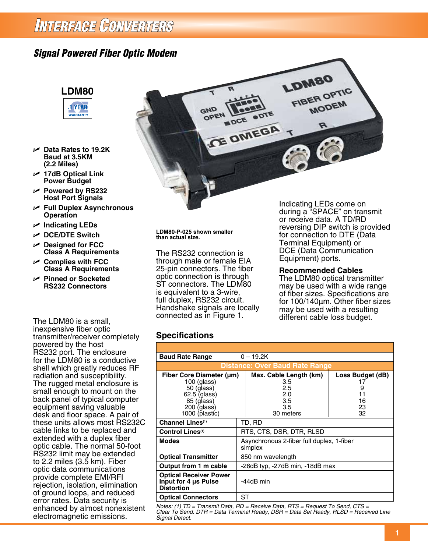## INTERFACE CONVERTERS

### *Signal Powered Fiber Optic Modem*



- U **Data Rates to 19.2K Baud at 3.5KM (2.2 Miles)**
- U **17dB Optical Link Power Budget**
- U **Powered by RS232 Host Port Signals**
- U **Full Duplex Asynchronous Operation**
- U **Indicating LEDs**
- U **DCE/DTE Switch**
- U **Designed for FCC Class A Requirements**
- U **Complies with FCC Class A Requirements**
- U **Pinned or Socketed RS232 Connectors**

The LDM80 is a small, inexpensive fiber optic transmitter/receiver completely powered by the host RS232 port. The enclosure for the LDM80 is a conductive shell which greatly reduces RF radiation and susceptibility. The rugged metal enclosure is small enough to mount on the back panel of typical computer equipment saving valuable desk and floor space. A pair of these units allows most RS232C cable links to be replaced and extended with a duplex fiber optic cable. The normal 50-foot RS232 limit may be extended to 2.2 miles (3.5 km). Fiber optic data communications provide complete EMI/RFI rejection, isolation, elimination of ground loops, and reduced error rates. Data security is enhanced by almost nonexistent electromagnetic emissions.



**LDM80-P-025 shown smaller than actual size.**

The RS232 connection is through male or female EIA 25-pin connectors. The fiber optic connection is through ST connectors. The LDM80 is equivalent to a 3-wire, full duplex, RS232 circuit. Handshake signals are locally connected as in Figure 1.

Indicating LEDs come on during a "SPACE" on transmit or receive data. A TD/RD reversing DIP switch is provided for connection to DTE (Data Terminal Equipment) or DCE (Data Communication Equipment) ports.

#### **Recommended Cables**

The LDM80 optical transmitter may be used with a wide range of fiber sizes. Specifications are for 100/140µm. Other fiber sizes may be used with a resulting different cable loss budget.

#### **Specifications**

| <b>Baud Rate Range</b>                                                                                                 | $0 - 19.2K$                                          |                                                                        |                                               |  |
|------------------------------------------------------------------------------------------------------------------------|------------------------------------------------------|------------------------------------------------------------------------|-----------------------------------------------|--|
| <b>Distance: Over Baud Rate Range</b>                                                                                  |                                                      |                                                                        |                                               |  |
| Fiber Core Diameter (um)<br>$100$ (glass)<br>50 (glass)<br>62.5 (glass)<br>85 (glass)<br>200 (glass)<br>1000 (plastic) |                                                      | Max. Cable Length (km)<br>3.5<br>2.5<br>2.0<br>3.5<br>3.5<br>30 meters | Loss Budget (dB)<br>9<br>11<br>16<br>23<br>32 |  |
| Channel Lines <sup>(1)</sup>                                                                                           |                                                      | TD, RD                                                                 |                                               |  |
| Control Lines <sup>(1)</sup>                                                                                           |                                                      | RTS, CTS, DSR, DTR, RLSD                                               |                                               |  |
| <b>Modes</b>                                                                                                           | Asynchronous 2-fiber full duplex, 1-fiber<br>simplex |                                                                        |                                               |  |
| <b>Optical Transmitter</b>                                                                                             | 850 nm wavelength                                    |                                                                        |                                               |  |
| Output from 1 m cable                                                                                                  | -26dB typ, -27dB min, -18dB max                      |                                                                        |                                               |  |
| <b>Optical Receiver Power</b><br>Input for 4 us Pulse<br><b>Distortion</b>                                             |                                                      | -44dB min                                                              |                                               |  |
| <b>Optical Connectors</b>                                                                                              | SТ                                                   |                                                                        |                                               |  |

*Notes: (1) TD = Transmit Data, RD = Receive Data, RTS = Request To Send, CTS = Clear To Send. DTR = Data Terminal Ready, DSR = Data Set Ready, RLSD = Received Line Signal Detect.*